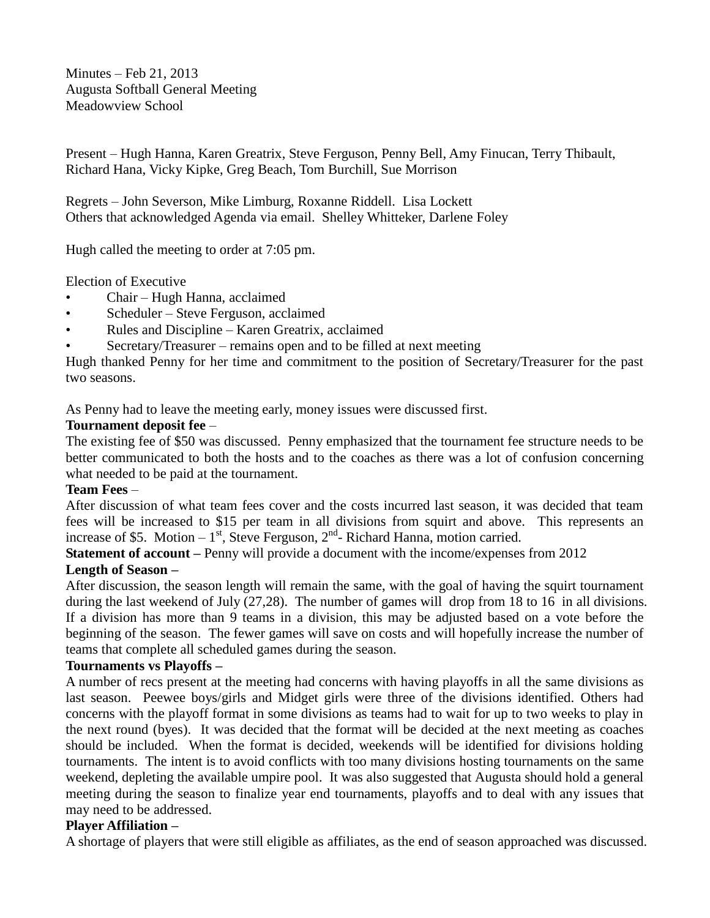Minutes – Feb 21, 2013 Augusta Softball General Meeting Meadowview School

Present – Hugh Hanna, Karen Greatrix, Steve Ferguson, Penny Bell, Amy Finucan, Terry Thibault, Richard Hana, Vicky Kipke, Greg Beach, Tom Burchill, Sue Morrison

Regrets – John Severson, Mike Limburg, Roxanne Riddell. Lisa Lockett Others that acknowledged Agenda via email. Shelley Whitteker, Darlene Foley

Hugh called the meeting to order at 7:05 pm.

Election of Executive

- Chair Hugh Hanna, acclaimed
- Scheduler Steve Ferguson, acclaimed
- Rules and Discipline Karen Greatrix, acclaimed
- Secretary/Treasurer remains open and to be filled at next meeting

Hugh thanked Penny for her time and commitment to the position of Secretary/Treasurer for the past two seasons.

As Penny had to leave the meeting early, money issues were discussed first.

### **Tournament deposit fee** –

The existing fee of \$50 was discussed. Penny emphasized that the tournament fee structure needs to be better communicated to both the hosts and to the coaches as there was a lot of confusion concerning what needed to be paid at the tournament.

#### **Team Fees** –

After discussion of what team fees cover and the costs incurred last season, it was decided that team fees will be increased to \$15 per team in all divisions from squirt and above. This represents an increase of \$5. Motion  $-1<sup>st</sup>$ , Steve Ferguson,  $2<sup>nd</sup>$ - Richard Hanna, motion carried.

**Statement of account** – Penny will provide a document with the income/expenses from 2012

# **Length of Season –**

After discussion, the season length will remain the same, with the goal of having the squirt tournament during the last weekend of July (27,28). The number of games will drop from 18 to 16 in all divisions. If a division has more than 9 teams in a division, this may be adjusted based on a vote before the beginning of the season. The fewer games will save on costs and will hopefully increase the number of teams that complete all scheduled games during the season.

#### **Tournaments vs Playoffs –**

A number of recs present at the meeting had concerns with having playoffs in all the same divisions as last season. Peewee boys/girls and Midget girls were three of the divisions identified. Others had concerns with the playoff format in some divisions as teams had to wait for up to two weeks to play in the next round (byes). It was decided that the format will be decided at the next meeting as coaches should be included. When the format is decided, weekends will be identified for divisions holding tournaments. The intent is to avoid conflicts with too many divisions hosting tournaments on the same weekend, depleting the available umpire pool. It was also suggested that Augusta should hold a general meeting during the season to finalize year end tournaments, playoffs and to deal with any issues that may need to be addressed.

# **Player Affiliation –**

A shortage of players that were still eligible as affiliates, as the end of season approached was discussed.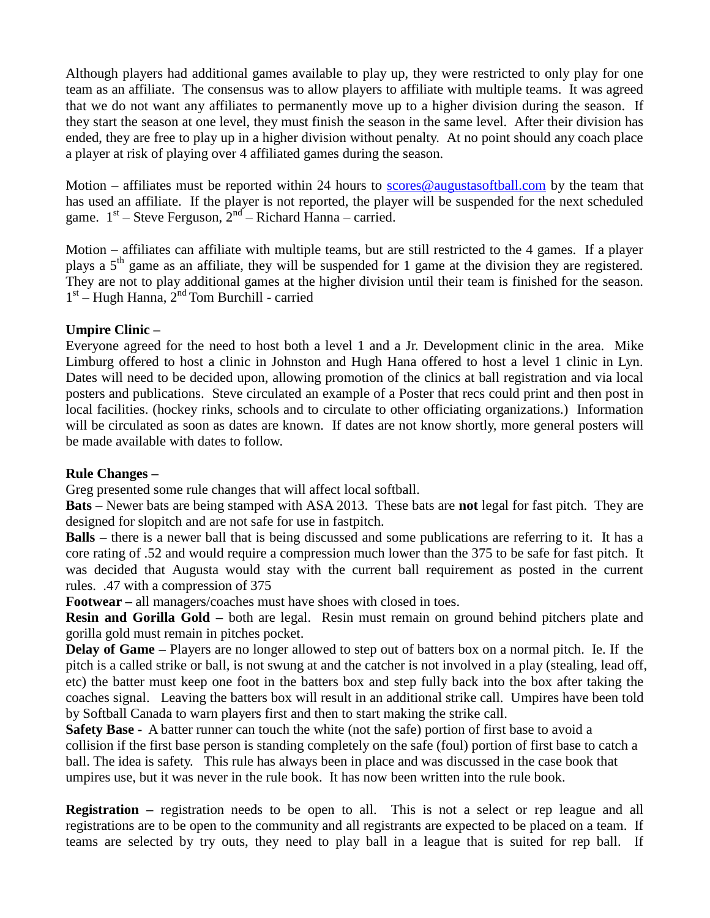Although players had additional games available to play up, they were restricted to only play for one team as an affiliate. The consensus was to allow players to affiliate with multiple teams. It was agreed that we do not want any affiliates to permanently move up to a higher division during the season. If they start the season at one level, they must finish the season in the same level. After their division has ended, they are free to play up in a higher division without penalty. At no point should any coach place a player at risk of playing over 4 affiliated games during the season.

Motion – affiliates must be reported within 24 hours to [scores@augustasoftball.com](mailto:scores@augustasoftball.com) by the team that has used an affiliate. If the player is not reported, the player will be suspended for the next scheduled game.  $1<sup>st</sup>$  – Steve Ferguson,  $2<sup>nd</sup>$  – Richard Hanna – carried.

Motion – affiliates can affiliate with multiple teams, but are still restricted to the 4 games. If a player plays a  $5<sup>th</sup>$  game as an affiliate, they will be suspended for 1 game at the division they are registered. They are not to play additional games at the higher division until their team is finished for the season. 1<sup>st</sup> – Hugh Hanna, 2<sup>nd</sup> Tom Burchill - carried

### **Umpire Clinic –**

Everyone agreed for the need to host both a level 1 and a Jr. Development clinic in the area. Mike Limburg offered to host a clinic in Johnston and Hugh Hana offered to host a level 1 clinic in Lyn. Dates will need to be decided upon, allowing promotion of the clinics at ball registration and via local posters and publications. Steve circulated an example of a Poster that recs could print and then post in local facilities. (hockey rinks, schools and to circulate to other officiating organizations.) Information will be circulated as soon as dates are known. If dates are not know shortly, more general posters will be made available with dates to follow.

#### **Rule Changes –**

Greg presented some rule changes that will affect local softball.

**Bats** – Newer bats are being stamped with ASA 2013. These bats are **not** legal for fast pitch. They are designed for slopitch and are not safe for use in fastpitch.

**Balls –** there is a newer ball that is being discussed and some publications are referring to it. It has a core rating of .52 and would require a compression much lower than the 375 to be safe for fast pitch. It was decided that Augusta would stay with the current ball requirement as posted in the current rules. .47 with a compression of 375

**Footwear –** all managers/coaches must have shoes with closed in toes.

**Resin and Gorilla Gold –** both are legal. Resin must remain on ground behind pitchers plate and gorilla gold must remain in pitches pocket.

**Delay of Game –** Players are no longer allowed to step out of batters box on a normal pitch. Ie. If the pitch is a called strike or ball, is not swung at and the catcher is not involved in a play (stealing, lead off, etc) the batter must keep one foot in the batters box and step fully back into the box after taking the coaches signal. Leaving the batters box will result in an additional strike call. Umpires have been told by Softball Canada to warn players first and then to start making the strike call.

**Safety Base -** A batter runner can touch the white (not the safe) portion of first base to avoid a collision if the first base person is standing completely on the safe (foul) portion of first base to catch a ball. The idea is safety. This rule has always been in place and was discussed in the case book that umpires use, but it was never in the rule book. It has now been written into the rule book.

**Registration –** registration needs to be open to all. This is not a select or rep league and all registrations are to be open to the community and all registrants are expected to be placed on a team. If teams are selected by try outs, they need to play ball in a league that is suited for rep ball. If